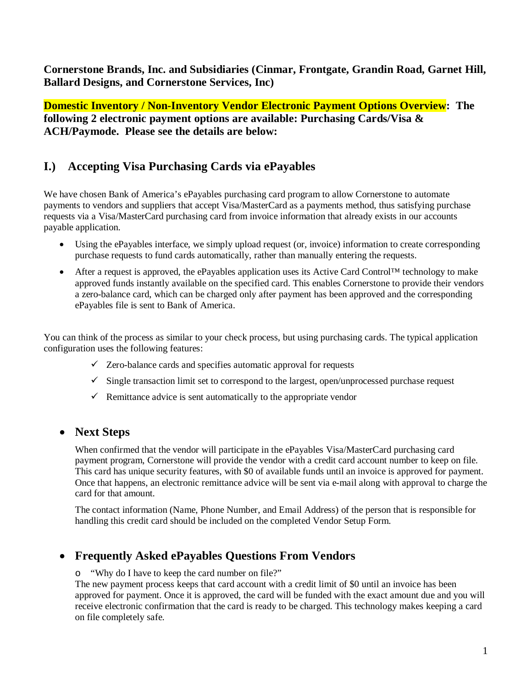**Cornerstone Brands, Inc. and Subsidiaries (Cinmar, Frontgate, Grandin Road, Garnet Hill, Ballard Designs, and Cornerstone Services, Inc)**

**Domestic Inventory / Non-Inventory Vendor Electronic Payment Options Overview:** The **following 2 electronic payment options are available: Purchasing Cards/Visa & ACH/Paymode. Please see the details are below:** 

## **I.) Accepting Visa Purchasing Cards via ePayables**

We have chosen Bank of America's ePayables purchasing card program to allow Cornerstone to automate payments to vendors and suppliers that accept Visa/MasterCard as a payments method, thus satisfying purchase requests via a Visa/MasterCard purchasing card from invoice information that already exists in our accounts payable application.

- Using the ePayables interface, we simply upload request (or, invoice) information to create corresponding purchase requests to fund cards automatically, rather than manually entering the requests.
- After a request is approved, the ePayables application uses its Active Card Control™ technology to make approved funds instantly available on the specified card. This enables Cornerstone to provide their vendors a zero-balance card, which can be charged only after payment has been approved and the corresponding ePayables file is sent to Bank of America.

You can think of the process as similar to your check process, but using purchasing cards. The typical application configuration uses the following features:

- $\checkmark$  Zero-balance cards and specifies automatic approval for requests
- $\checkmark$  Single transaction limit set to correspond to the largest, open/unprocessed purchase request
- $\checkmark$  Remittance advice is sent automatically to the appropriate vendor

### • **Next Steps**

When confirmed that the vendor will participate in the ePayables Visa/MasterCard purchasing card payment program, Cornerstone will provide the vendor with a credit card account number to keep on file. This card has unique security features, with \$0 of available funds until an invoice is approved for payment. Once that happens, an electronic remittance advice will be sent via e-mail along with approval to charge the card for that amount.

The contact information (Name, Phone Number, and Email Address) of the person that is responsible for handling this credit card should be included on the completed Vendor Setup Form.

## • **Frequently Asked ePayables Questions From Vendors**

o "Why do I have to keep the card number on file?"

The new payment process keeps that card account with a credit limit of \$0 until an invoice has been approved for payment. Once it is approved, the card will be funded with the exact amount due and you will receive electronic confirmation that the card is ready to be charged. This technology makes keeping a card on file completely safe.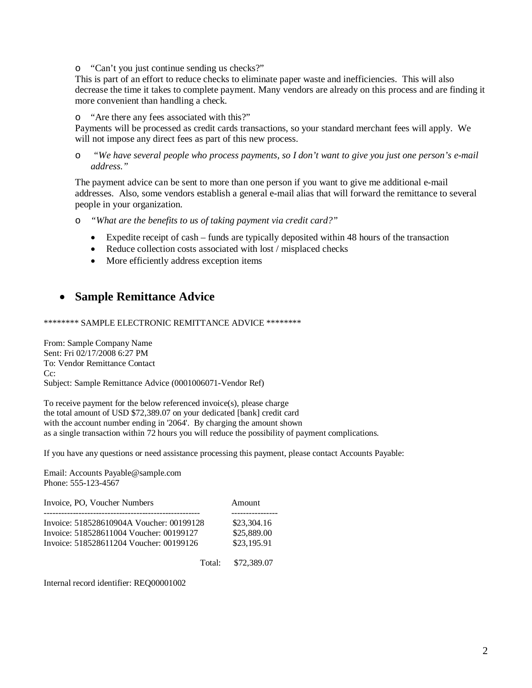o "Can't you just continue sending us checks?"

This is part of an effort to reduce checks to eliminate paper waste and inefficiencies. This will also decrease the time it takes to complete payment. Many vendors are already on this process and are finding it more convenient than handling a check.

o "Are there any fees associated with this?"

Payments will be processed as credit cards transactions, so your standard merchant fees will apply. We will not impose any direct fees as part of this new process.

o *"We have several people who process payments, so I don't want to give you just one person's e-mail address."*

The payment advice can be sent to more than one person if you want to give me additional e-mail addresses. Also, some vendors establish a general e-mail alias that will forward the remittance to several people in your organization.

- o *"What are the benefits to us of taking payment via credit card?"*
	- Expedite receipt of cash funds are typically deposited within 48 hours of the transaction
	- Reduce collection costs associated with lost / misplaced checks
	- More efficiently address exception items

### • **Sample Remittance Advice**

\*\*\*\*\*\*\*\* SAMPLE ELECTRONIC REMITTANCE ADVICE \*\*\*\*\*\*\*\*

From: Sample Company Name Sent: Fri 02/17/2008 6:27 PM To: Vendor Remittance Contact Cc: Subject: Sample Remittance Advice (0001006071-Vendor Ref)

To receive payment for the below referenced invoice(s), please charge the total amount of USD \$72,389.07 on your dedicated [bank] credit card with the account number ending in '2064'. By charging the amount shown as a single transaction within 72 hours you will reduce the possibility of payment complications.

If you have any questions or need assistance processing this payment, please contact Accounts Payable:

Email: Accounts Payable@sample.com Phone: 555-123-4567

| Invoice, PO. Voucher Numbers             | Amount      |
|------------------------------------------|-------------|
| Invoice: 518528610904A Voucher: 00199128 | \$23,304.16 |
| Invoice: 518528611004 Voucher: 00199127  | \$25,889.00 |
| Invoice: 518528611204 Voucher: 00199126  | \$23,195.91 |

Total: \$72,389.07

Internal record identifier: REQ00001002